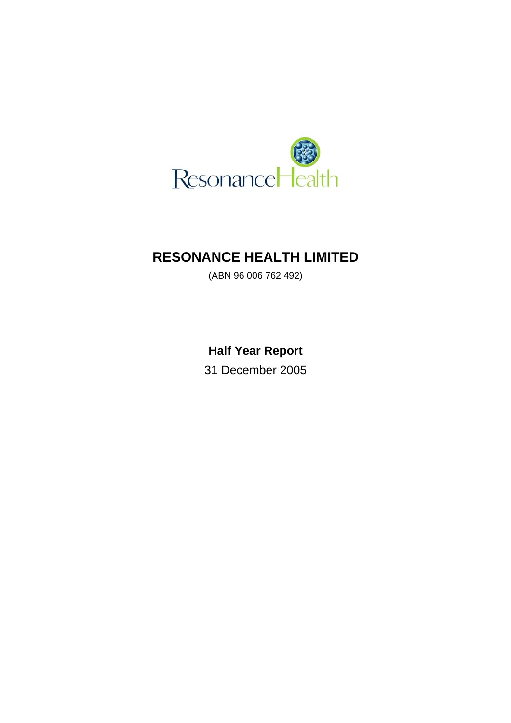

# **RESONANCE HEALTH LIMITED**

(ABN 96 006 762 492)

**Half Year Report** 

31 December 2005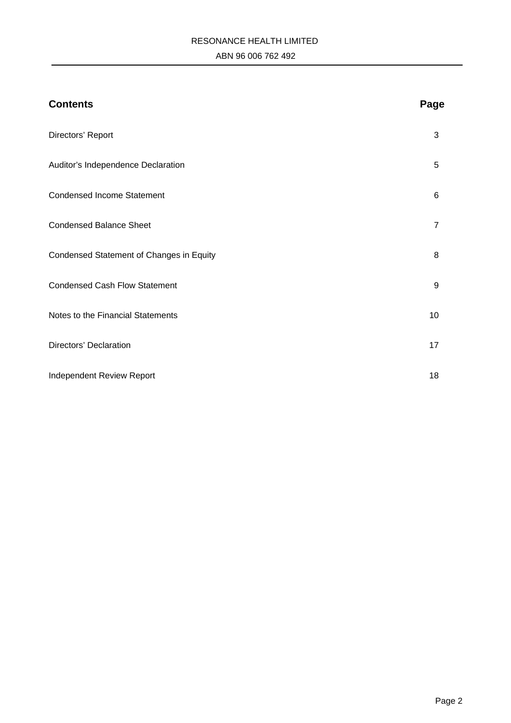# RESONANCE HEALTH LIMITED ABN 96 006 762 492

| <b>Contents</b>                          | Page           |
|------------------------------------------|----------------|
| Directors' Report                        | 3              |
| Auditor's Independence Declaration       | 5              |
| <b>Condensed Income Statement</b>        | 6              |
| <b>Condensed Balance Sheet</b>           | $\overline{7}$ |
| Condensed Statement of Changes in Equity | 8              |
| <b>Condensed Cash Flow Statement</b>     | 9              |
| Notes to the Financial Statements        | 10             |
| Directors' Declaration                   | 17             |
| Independent Review Report                | 18             |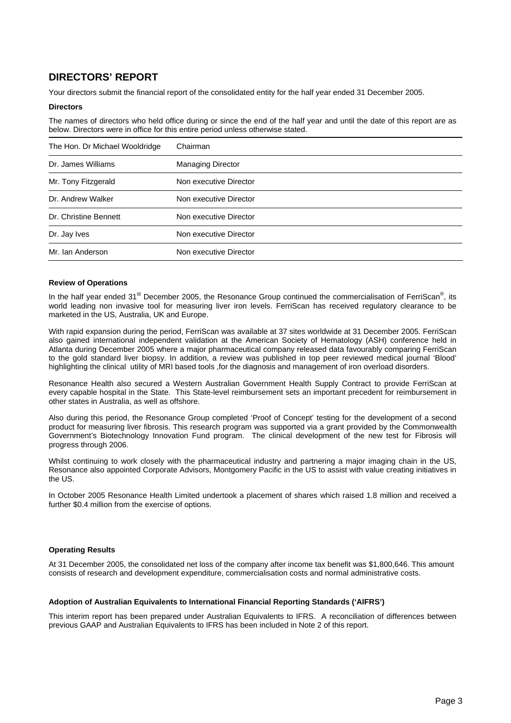# **DIRECTORS' REPORT**

Your directors submit the financial report of the consolidated entity for the half year ended 31 December 2005.

#### **Directors**

The names of directors who held office during or since the end of the half year and until the date of this report are as below. Directors were in office for this entire period unless otherwise stated.

| The Hon. Dr Michael Wooldridge | Chairman                 |
|--------------------------------|--------------------------|
| Dr. James Williams             | <b>Managing Director</b> |
| Mr. Tony Fitzgerald            | Non executive Director   |
| Dr. Andrew Walker              | Non executive Director   |
| Dr. Christine Bennett          | Non executive Director   |
| Dr. Jay Ives                   | Non executive Director   |
| Mr. Ian Anderson               | Non executive Director   |

## **Review of Operations**

In the half year ended 31<sup>st</sup> December 2005, the Resonance Group continued the commercialisation of FerriScan<sup>®</sup>, its world leading non invasive tool for measuring liver iron levels. FerriScan has received regulatory clearance to be marketed in the US, Australia, UK and Europe.

With rapid expansion during the period, FerriScan was available at 37 sites worldwide at 31 December 2005. FerriScan also gained international independent validation at the American Society of Hematology (ASH) conference held in Atlanta during December 2005 where a major pharmaceutical company released data favourably comparing FerriScan to the gold standard liver biopsy. In addition, a review was published in top peer reviewed medical journal 'Blood' highlighting the clinical utility of MRI based tools ,for the diagnosis and management of iron overload disorders.

Resonance Health also secured a Western Australian Government Health Supply Contract to provide FerriScan at every capable hospital in the State. This State-level reimbursement sets an important precedent for reimbursement in other states in Australia, as well as offshore.

Also during this period, the Resonance Group completed 'Proof of Concept' testing for the development of a second product for measuring liver fibrosis. This research program was supported via a grant provided by the Commonwealth Government's Biotechnology Innovation Fund program. The clinical development of the new test for Fibrosis will progress through 2006.

Whilst continuing to work closely with the pharmaceutical industry and partnering a major imaging chain in the US, Resonance also appointed Corporate Advisors, Montgomery Pacific in the US to assist with value creating initiatives in the US.

In October 2005 Resonance Health Limited undertook a placement of shares which raised 1.8 million and received a further \$0.4 million from the exercise of options.

### **Operating Results**

At 31 December 2005, the consolidated net loss of the company after income tax benefit was \$1,800,646. This amount consists of research and development expenditure, commercialisation costs and normal administrative costs.

### **Adoption of Australian Equivalents to International Financial Reporting Standards ('AIFRS')**

This interim report has been prepared under Australian Equivalents to IFRS. A reconciliation of differences between previous GAAP and Australian Equivalents to IFRS has been included in Note 2 of this report.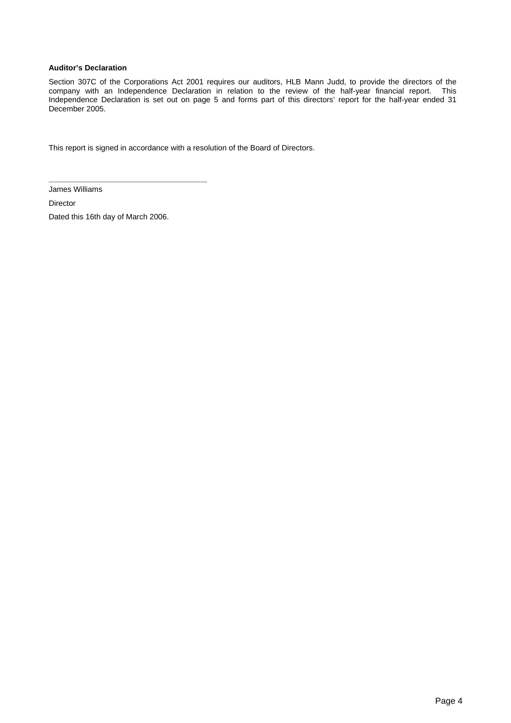## **Auditor's Declaration**

Section 307C of the Corporations Act 2001 requires our auditors, HLB Mann Judd, to provide the directors of the company with an Independence Declaration in relation to the review of the half-year financial report. This Independence Declaration is set out on page 5 and forms part of this directors' report for the half-year ended 31 December 2005.

This report is signed in accordance with a resolution of the Board of Directors.

James Williams

Director

Dated this 16th day of March 2006.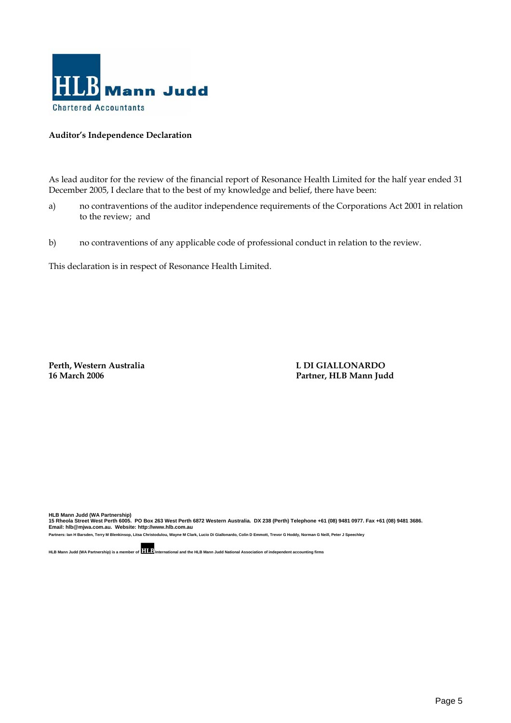

# **Auditor's Independence Declaration**

As lead auditor for the review of the financial report of Resonance Health Limited for the half year ended 31 December 2005, I declare that to the best of my knowledge and belief, there have been:

- a) no contraventions of the auditor independence requirements of the Corporations Act 2001 in relation to the review; and
- b) no contraventions of any applicable code of professional conduct in relation to the review.

This declaration is in respect of Resonance Health Limited.

Perth, Western Australia **L DI GIALLONARDO 16 March 2006 Partner, HLB Mann Judd** 

HLB Mann Judd (WA Partnership)<br>15 Rheola Street West Perth 6005. PO Box 263 West Perth 6872 Western Australia. DX 238 (Perth) Telephone +61 (08) 9481 0977. Fax +61 (08) 9481 3686.<br>Email: hIb@mjwa.com.au. Website: http:/

**Partners: Ian H Barsden, Terry M Blenkinsop, Litsa Christodulou, Wayne M Clark, Lucio Di Giallonardo, Colin D Emmott, Trevor G Hoddy, Norman G Neill, Peter J Speechley**

**HLB Mann Judd (WA Partnership) is a member of International and the HLB Mann Judd National Association of independent accounting firms**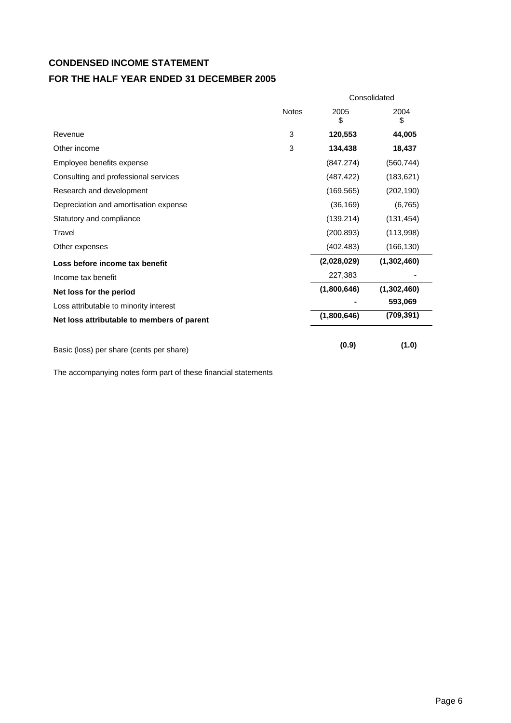# **CONDENSED INCOME STATEMENT**

# **FOR THE HALF YEAR ENDED 31 DECEMBER 2005**

|                                            |              | Consolidated |             |  |
|--------------------------------------------|--------------|--------------|-------------|--|
|                                            | <b>Notes</b> | 2005<br>\$   | 2004<br>\$  |  |
| Revenue                                    | 3            | 120,553      | 44,005      |  |
| Other income                               | 3            | 134,438      | 18,437      |  |
| Employee benefits expense                  |              | (847, 274)   | (560, 744)  |  |
| Consulting and professional services       |              | (487, 422)   | (183, 621)  |  |
| Research and development                   |              | (169, 565)   | (202, 190)  |  |
| Depreciation and amortisation expense      |              | (36, 169)    | (6, 765)    |  |
| Statutory and compliance                   |              | (139, 214)   | (131, 454)  |  |
| Travel                                     |              | (200, 893)   | (113,998)   |  |
| Other expenses                             |              | (402, 483)   | (166, 130)  |  |
| Loss before income tax benefit             |              | (2,028,029)  | (1,302,460) |  |
| Income tax benefit                         |              | 227,383      |             |  |
| Net loss for the period                    |              | (1,800,646)  | (1,302,460) |  |
| Loss attributable to minority interest     |              |              | 593,069     |  |
| Net loss attributable to members of parent |              | (1,800,646)  | (709, 391)  |  |
| Basic (loss) per share (cents per share)   |              | (0.9)        | (1.0)       |  |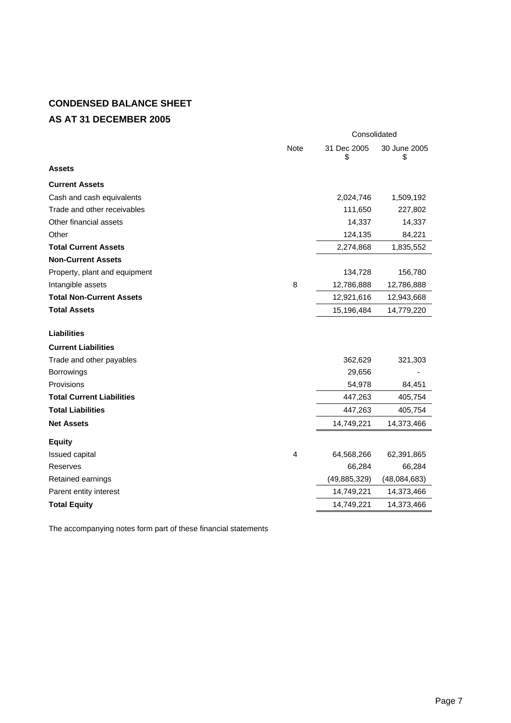# **CONDENSED BALANCE SHEET AS AT 31 DECEMBER 2005**

|                                  |                | Consolidated      |                    |  |
|----------------------------------|----------------|-------------------|--------------------|--|
|                                  | <b>Note</b>    | 31 Dec 2005<br>\$ | 30 June 2005<br>\$ |  |
| <b>Assets</b>                    |                |                   |                    |  |
| <b>Current Assets</b>            |                |                   |                    |  |
| Cash and cash equivalents        |                | 2,024,746         | 1,509,192          |  |
| Trade and other receivables      |                | 111,650           | 227,802            |  |
| Other financial assets           |                | 14,337            | 14,337             |  |
| Other                            |                | 124,135           | 84,221             |  |
| <b>Total Current Assets</b>      |                | 2,274,868         | 1,835,552          |  |
| <b>Non-Current Assets</b>        |                |                   |                    |  |
| Property, plant and equipment    |                | 134,728           | 156,780            |  |
| Intangible assets                | 8              | 12,786,888        | 12,786,888         |  |
| <b>Total Non-Current Assets</b>  |                | 12,921,616        | 12,943,668         |  |
| <b>Total Assets</b>              |                | 15,196,484        | 14,779,220         |  |
|                                  |                |                   |                    |  |
| <b>Liabilities</b>               |                |                   |                    |  |
| <b>Current Liabilities</b>       |                |                   |                    |  |
| Trade and other payables         |                | 362,629           | 321,303            |  |
| Borrowings                       |                | 29,656            |                    |  |
| Provisions                       |                | 54,978            | 84,451             |  |
| <b>Total Current Liabilities</b> |                | 447,263           | 405,754            |  |
| <b>Total Liabilities</b>         |                | 447,263           | 405,754            |  |
| <b>Net Assets</b>                |                | 14,749,221        | 14,373,466         |  |
| <b>Equity</b>                    |                |                   |                    |  |
| <b>Issued capital</b>            | $\overline{4}$ | 64,568,266        | 62,391,865         |  |
| Reserves                         |                | 66,284            | 66,284             |  |
| Retained earnings                |                | (49, 885, 329)    | (48,084,683)       |  |
| Parent entity interest           |                | 14,749,221        | 14,373,466         |  |
| <b>Total Equity</b>              |                | 14,749,221        | 14,373,466         |  |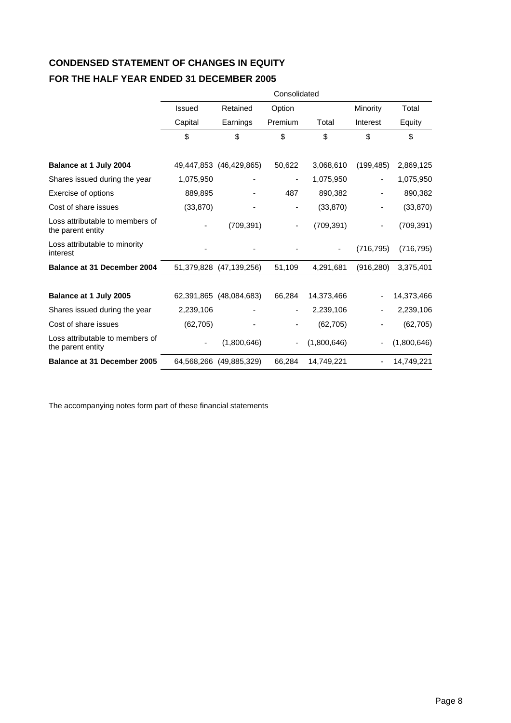# **CONDENSED STATEMENT OF CHANGES IN EQUITY FOR THE HALF YEAR ENDED 31 DECEMBER 2005**

|                                                      |               |                         | Consolidated             |             |            |             |
|------------------------------------------------------|---------------|-------------------------|--------------------------|-------------|------------|-------------|
|                                                      | <b>Issued</b> | Retained                | Option                   |             | Minority   | Total       |
|                                                      | Capital       | Earnings                | Premium                  | Total       | Interest   | Equity      |
|                                                      | \$            | \$                      | \$                       | \$          | \$         | \$          |
| Balance at 1 July 2004                               |               | 49,447,853 (46,429,865) | 50,622                   | 3,068,610   | (199, 485) | 2,869,125   |
| Shares issued during the year                        | 1,075,950     |                         | ۰                        | 1,075,950   |            | 1,075,950   |
| Exercise of options                                  | 889,895       |                         | 487                      | 890,382     |            | 890,382     |
| Cost of share issues                                 | (33, 870)     |                         | -                        | (33, 870)   |            | (33, 870)   |
| Loss attributable to members of<br>the parent entity |               | (709, 391)              | ۰                        | (709, 391)  |            | (709, 391)  |
| Loss attributable to minority<br>interest            |               |                         |                          |             | (716, 795) | (716, 795)  |
| Balance at 31 December 2004                          |               | 51,379,828 (47,139,256) | 51,109                   | 4,291,681   | (916, 280) | 3,375,401   |
| Balance at 1 July 2005                               |               | 62,391,865 (48,084,683) | 66,284                   | 14,373,466  |            | 14,373,466  |
| Shares issued during the year                        | 2,239,106     |                         | $\overline{\phantom{0}}$ | 2,239,106   |            | 2,239,106   |
| Cost of share issues                                 | (62, 705)     |                         |                          | (62, 705)   |            | (62, 705)   |
| Loss attributable to members of<br>the parent entity |               | (1,800,646)             | $\overline{\phantom{0}}$ | (1,800,646) |            | (1,800,646) |
| <b>Balance at 31 December 2005</b>                   |               | 64,568,266 (49,885,329) | 66,284                   | 14,749,221  |            | 14,749,221  |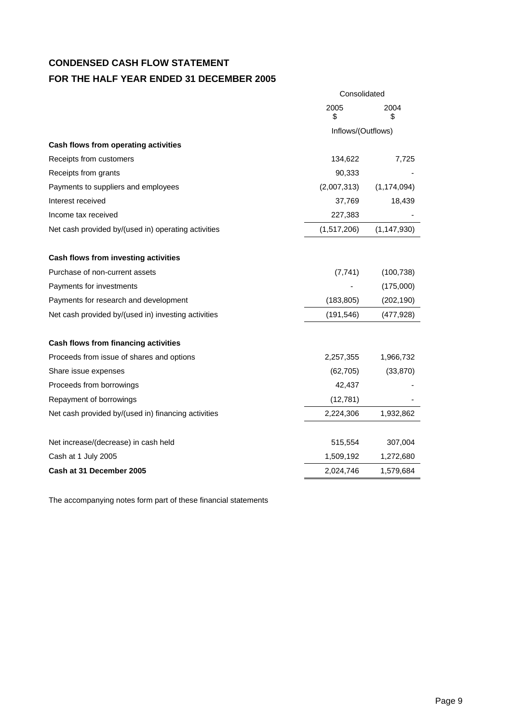# **CONDENSED CASH FLOW STATEMENT FOR THE HALF YEAR ENDED 31 DECEMBER 2005**

|                                                             | Consolidated       |               |  |
|-------------------------------------------------------------|--------------------|---------------|--|
|                                                             | 2005<br>\$         | 2004<br>5     |  |
|                                                             | Inflows/(Outflows) |               |  |
| Cash flows from operating activities                        |                    |               |  |
| Receipts from customers                                     | 134,622            | 7,725         |  |
| Receipts from grants                                        | 90,333             |               |  |
| Payments to suppliers and employees                         | (2,007,313)        | (1, 174, 094) |  |
| Interest received                                           | 37,769             | 18,439        |  |
| Income tax received                                         | 227,383            |               |  |
| Net cash provided by/(used in) operating activities         | (1,517,206)        | (1, 147, 930) |  |
| Cash flows from investing activities                        |                    |               |  |
| Purchase of non-current assets                              | (7, 741)           | (100, 738)    |  |
| Payments for investments                                    |                    | (175,000)     |  |
| Payments for research and development                       | (183, 805)         | (202, 190)    |  |
| Net cash provided by/(used in) investing activities         | (191, 546)         | (477, 928)    |  |
| Cash flows from financing activities                        |                    |               |  |
| Proceeds from issue of shares and options                   | 2,257,355          | 1,966,732     |  |
| Share issue expenses                                        | (62, 705)          | (33, 870)     |  |
| Proceeds from borrowings                                    | 42,437             |               |  |
| Repayment of borrowings                                     | (12, 781)          |               |  |
| Net cash provided by/(used in) financing activities         | 2,224,306          | 1,932,862     |  |
|                                                             | 515,554            | 307,004       |  |
| Net increase/(decrease) in cash held<br>Cash at 1 July 2005 | 1,509,192          |               |  |
|                                                             |                    | 1,272,680     |  |
| Cash at 31 December 2005                                    | 2,024,746          | 1,579,684     |  |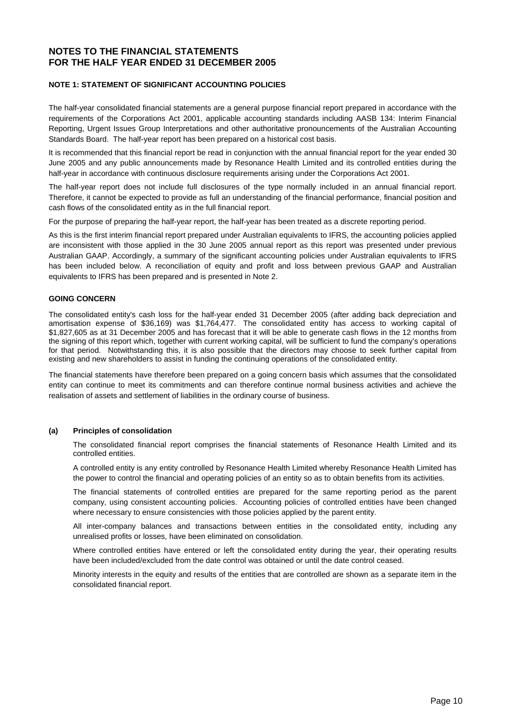# **NOTE 1: STATEMENT OF SIGNIFICANT ACCOUNTING POLICIES**

The half-year consolidated financial statements are a general purpose financial report prepared in accordance with the requirements of the Corporations Act 2001, applicable accounting standards including AASB 134: Interim Financial Reporting, Urgent Issues Group Interpretations and other authoritative pronouncements of the Australian Accounting Standards Board. The half-year report has been prepared on a historical cost basis.

It is recommended that this financial report be read in conjunction with the annual financial report for the year ended 30 June 2005 and any public announcements made by Resonance Health Limited and its controlled entities during the half-year in accordance with continuous disclosure requirements arising under the Corporations Act 2001.

The half-year report does not include full disclosures of the type normally included in an annual financial report. Therefore, it cannot be expected to provide as full an understanding of the financial performance, financial position and cash flows of the consolidated entity as in the full financial report.

For the purpose of preparing the half-year report, the half-year has been treated as a discrete reporting period.

As this is the first interim financial report prepared under Australian equivalents to IFRS, the accounting policies applied are inconsistent with those applied in the 30 June 2005 annual report as this report was presented under previous Australian GAAP. Accordingly, a summary of the significant accounting policies under Australian equivalents to IFRS has been included below. A reconciliation of equity and profit and loss between previous GAAP and Australian equivalents to IFRS has been prepared and is presented in Note 2.

## **GOING CONCERN**

The consolidated entity's cash loss for the half-year ended 31 December 2005 (after adding back depreciation and amortisation expense of \$36,169) was \$1,764,477. The consolidated entity has access to working capital of \$1,827,605 as at 31 December 2005 and has forecast that it will be able to generate cash flows in the 12 months from the signing of this report which, together with current working capital, will be sufficient to fund the company's operations for that period. Notwithstanding this, it is also possible that the directors may choose to seek further capital from existing and new shareholders to assist in funding the continuing operations of the consolidated entity.

The financial statements have therefore been prepared on a going concern basis which assumes that the consolidated entity can continue to meet its commitments and can therefore continue normal business activities and achieve the realisation of assets and settlement of liabilities in the ordinary course of business.

# **(a) Principles of consolidation**

The consolidated financial report comprises the financial statements of Resonance Health Limited and its controlled entities.

A controlled entity is any entity controlled by Resonance Health Limited whereby Resonance Health Limited has the power to control the financial and operating policies of an entity so as to obtain benefits from its activities.

The financial statements of controlled entities are prepared for the same reporting period as the parent company, using consistent accounting policies. Accounting policies of controlled entities have been changed where necessary to ensure consistencies with those policies applied by the parent entity.

All inter-company balances and transactions between entities in the consolidated entity, including any unrealised profits or losses, have been eliminated on consolidation.

Where controlled entities have entered or left the consolidated entity during the year, their operating results have been included/excluded from the date control was obtained or until the date control ceased.

Minority interests in the equity and results of the entities that are controlled are shown as a separate item in the consolidated financial report.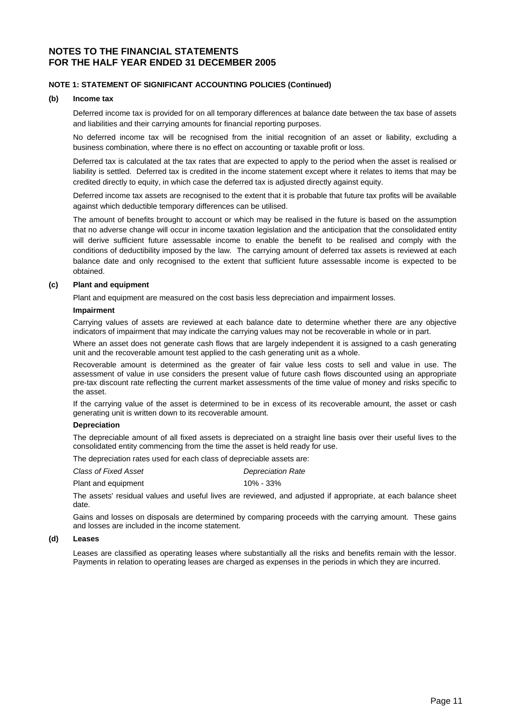# **NOTE 1: STATEMENT OF SIGNIFICANT ACCOUNTING POLICIES (Continued)**

#### **(b) Income tax**

Deferred income tax is provided for on all temporary differences at balance date between the tax base of assets and liabilities and their carrying amounts for financial reporting purposes.

No deferred income tax will be recognised from the initial recognition of an asset or liability, excluding a business combination, where there is no effect on accounting or taxable profit or loss.

Deferred tax is calculated at the tax rates that are expected to apply to the period when the asset is realised or liability is settled. Deferred tax is credited in the income statement except where it relates to items that may be credited directly to equity, in which case the deferred tax is adjusted directly against equity.

Deferred income tax assets are recognised to the extent that it is probable that future tax profits will be available against which deductible temporary differences can be utilised.

The amount of benefits brought to account or which may be realised in the future is based on the assumption that no adverse change will occur in income taxation legislation and the anticipation that the consolidated entity will derive sufficient future assessable income to enable the benefit to be realised and comply with the conditions of deductibility imposed by the law. The carrying amount of deferred tax assets is reviewed at each balance date and only recognised to the extent that sufficient future assessable income is expected to be obtained.

## **(c) Plant and equipment**

Plant and equipment are measured on the cost basis less depreciation and impairment losses.

#### **Impairment**

Carrying values of assets are reviewed at each balance date to determine whether there are any objective indicators of impairment that may indicate the carrying values may not be recoverable in whole or in part.

Where an asset does not generate cash flows that are largely independent it is assigned to a cash generating unit and the recoverable amount test applied to the cash generating unit as a whole.

Recoverable amount is determined as the greater of fair value less costs to sell and value in use. The assessment of value in use considers the present value of future cash flows discounted using an appropriate pre-tax discount rate reflecting the current market assessments of the time value of money and risks specific to the asset.

If the carrying value of the asset is determined to be in excess of its recoverable amount, the asset or cash generating unit is written down to its recoverable amount.

#### **Depreciation**

The depreciable amount of all fixed assets is depreciated on a straight line basis over their useful lives to the consolidated entity commencing from the time the asset is held ready for use.

The depreciation rates used for each class of depreciable assets are:

*Class of Fixed Asset Depreciation Rate* 

Plant and equipment 10% - 33%

The assets' residual values and useful lives are reviewed, and adjusted if appropriate, at each balance sheet date.

Gains and losses on disposals are determined by comparing proceeds with the carrying amount. These gains and losses are included in the income statement.

#### **(d) Leases**

Leases are classified as operating leases where substantially all the risks and benefits remain with the lessor. Payments in relation to operating leases are charged as expenses in the periods in which they are incurred.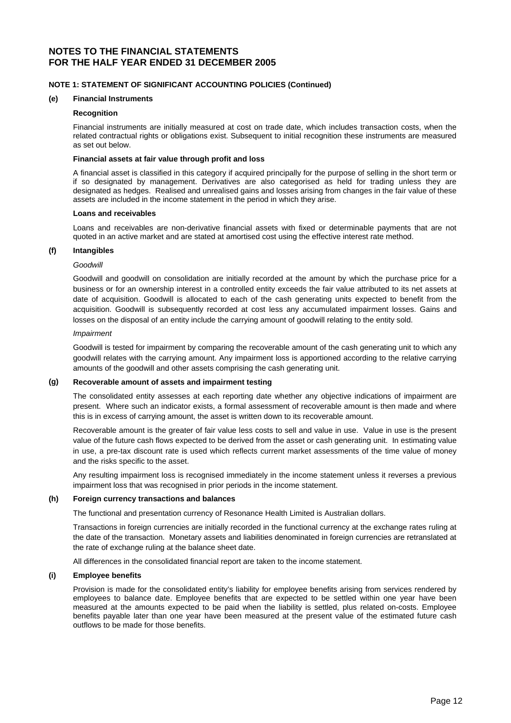# **NOTE 1: STATEMENT OF SIGNIFICANT ACCOUNTING POLICIES (Continued)**

#### **(e) Financial Instruments**

#### **Recognition**

Financial instruments are initially measured at cost on trade date, which includes transaction costs, when the related contractual rights or obligations exist. Subsequent to initial recognition these instruments are measured as set out below.

#### **Financial assets at fair value through profit and loss**

A financial asset is classified in this category if acquired principally for the purpose of selling in the short term or if so designated by management. Derivatives are also categorised as held for trading unless they are designated as hedges. Realised and unrealised gains and losses arising from changes in the fair value of these assets are included in the income statement in the period in which they arise.

#### **Loans and receivables**

Loans and receivables are non-derivative financial assets with fixed or determinable payments that are not quoted in an active market and are stated at amortised cost using the effective interest rate method.

#### **(f) Intangibles**

#### *Goodwill*

Goodwill and goodwill on consolidation are initially recorded at the amount by which the purchase price for a business or for an ownership interest in a controlled entity exceeds the fair value attributed to its net assets at date of acquisition. Goodwill is allocated to each of the cash generating units expected to benefit from the acquisition. Goodwill is subsequently recorded at cost less any accumulated impairment losses. Gains and losses on the disposal of an entity include the carrying amount of goodwill relating to the entity sold.

#### *Impairment*

Goodwill is tested for impairment by comparing the recoverable amount of the cash generating unit to which any goodwill relates with the carrying amount. Any impairment loss is apportioned according to the relative carrying amounts of the goodwill and other assets comprising the cash generating unit.

### **(g) Recoverable amount of assets and impairment testing**

The consolidated entity assesses at each reporting date whether any objective indications of impairment are present. Where such an indicator exists, a formal assessment of recoverable amount is then made and where this is in excess of carrying amount, the asset is written down to its recoverable amount.

Recoverable amount is the greater of fair value less costs to sell and value in use. Value in use is the present value of the future cash flows expected to be derived from the asset or cash generating unit. In estimating value in use, a pre-tax discount rate is used which reflects current market assessments of the time value of money and the risks specific to the asset.

Any resulting impairment loss is recognised immediately in the income statement unless it reverses a previous impairment loss that was recognised in prior periods in the income statement.

## **(h) Foreign currency transactions and balances**

The functional and presentation currency of Resonance Health Limited is Australian dollars.

Transactions in foreign currencies are initially recorded in the functional currency at the exchange rates ruling at the date of the transaction. Monetary assets and liabilities denominated in foreign currencies are retranslated at the rate of exchange ruling at the balance sheet date.

All differences in the consolidated financial report are taken to the income statement.

### **(i) Employee benefits**

Provision is made for the consolidated entity's liability for employee benefits arising from services rendered by employees to balance date. Employee benefits that are expected to be settled within one year have been measured at the amounts expected to be paid when the liability is settled, plus related on-costs. Employee benefits payable later than one year have been measured at the present value of the estimated future cash outflows to be made for those benefits.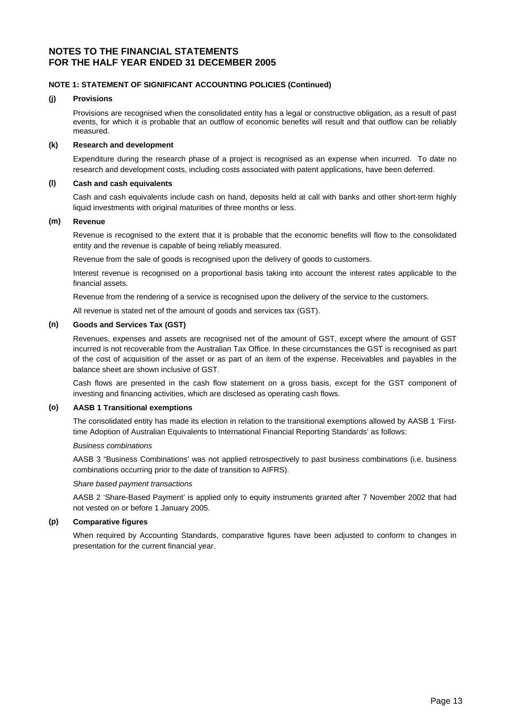# **NOTE 1: STATEMENT OF SIGNIFICANT ACCOUNTING POLICIES (Continued)**

#### **(j) Provisions**

Provisions are recognised when the consolidated entity has a legal or constructive obligation, as a result of past events, for which it is probable that an outflow of economic benefits will result and that outflow can be reliably measured.

## **(k) Research and development**

Expenditure during the research phase of a project is recognised as an expense when incurred. To date no research and development costs, including costs associated with patent applications, have been deferred.

# **(l) Cash and cash equivalents**

Cash and cash equivalents include cash on hand, deposits held at call with banks and other short-term highly liquid investments with original maturities of three months or less.

## **(m) Revenue**

Revenue is recognised to the extent that it is probable that the economic benefits will flow to the consolidated entity and the revenue is capable of being reliably measured.

Revenue from the sale of goods is recognised upon the delivery of goods to customers.

Interest revenue is recognised on a proportional basis taking into account the interest rates applicable to the financial assets.

Revenue from the rendering of a service is recognised upon the delivery of the service to the customers.

All revenue is stated net of the amount of goods and services tax (GST).

### **(n) Goods and Services Tax (GST)**

Revenues, expenses and assets are recognised net of the amount of GST, except where the amount of GST incurred is not recoverable from the Australian Tax Office. In these circumstances the GST is recognised as part of the cost of acquisition of the asset or as part of an item of the expense. Receivables and payables in the balance sheet are shown inclusive of GST.

Cash flows are presented in the cash flow statement on a gross basis, except for the GST component of investing and financing activities, which are disclosed as operating cash flows.

### **(o) AASB 1 Transitional exemptions**

The consolidated entity has made its election in relation to the transitional exemptions allowed by AASB 1 'Firsttime Adoption of Australian Equivalents to International Financial Reporting Standards' as follows:

### *Business combinations*

AASB 3 "Business Combinations' was not applied retrospectively to past business combinations (i.e. business combinations occurring prior to the date of transition to AIFRS).

### *Share based payment transactions*

AASB 2 'Share-Based Payment' is applied only to equity instruments granted after 7 November 2002 that had not vested on or before 1 January 2005.

### **(p) Comparative figures**

When required by Accounting Standards, comparative figures have been adjusted to conform to changes in presentation for the current financial year.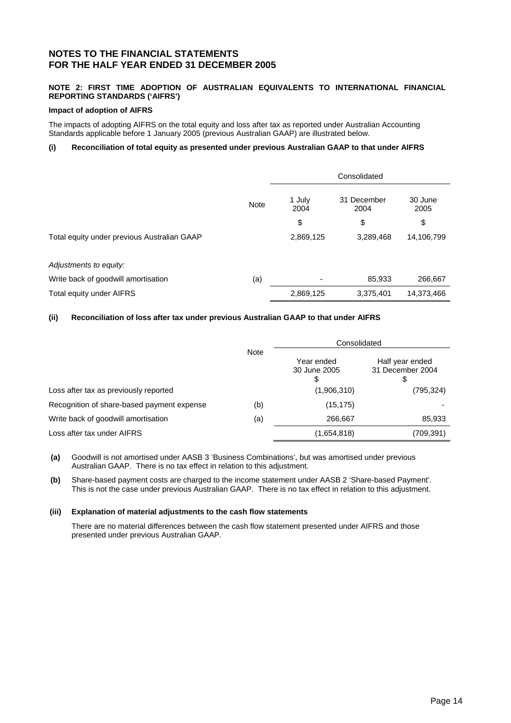# **NOTE 2: FIRST TIME ADOPTION OF AUSTRALIAN EQUIVALENTS TO INTERNATIONAL FINANCIAL REPORTING STANDARDS ('AIFRS')**

## **Impact of adoption of AIFRS**

The impacts of adopting AIFRS on the total equity and loss after tax as reported under Australian Accounting Standards applicable before 1 January 2005 (previous Australian GAAP) are illustrated below.

# **(i) Reconciliation of total equity as presented under previous Australian GAAP to that under AIFRS**

|                                             |             | Consolidated   |                     |                 |
|---------------------------------------------|-------------|----------------|---------------------|-----------------|
|                                             | <b>Note</b> | 1 July<br>2004 | 31 December<br>2004 | 30 June<br>2005 |
|                                             |             | \$             | \$                  | \$              |
| Total equity under previous Australian GAAP |             | 2,869,125      | 3,289,468           | 14,106,799      |
| Adjustments to equity:                      |             |                |                     |                 |
| Write back of goodwill amortisation         | (a)         |                | 85,933              | 266,667         |
| Total equity under AIFRS                    |             | 2,869,125      | 3,375,401           | 14,373,466      |

## **(ii) Reconciliation of loss after tax under previous Australian GAAP to that under AIFRS**

|                                            |     | Consolidated                     |                                     |
|--------------------------------------------|-----|----------------------------------|-------------------------------------|
| <b>Note</b>                                |     | Year ended<br>30 June 2005<br>\$ | Half year ended<br>31 December 2004 |
| Loss after tax as previously reported      |     | (1,906,310)                      | (795,324)                           |
| Recognition of share-based payment expense | (b) | (15, 175)                        |                                     |
| Write back of goodwill amortisation        | (a) | 266,667                          | 85,933                              |
| Loss after tax under AIFRS                 |     | (1,654,818)                      | (709,391)                           |

**(a)** Goodwill is not amortised under AASB 3 'Business Combinations', but was amortised under previous Australian GAAP. There is no tax effect in relation to this adjustment.

**(b)** Share-based payment costs are charged to the income statement under AASB 2 'Share-based Payment'. This is not the case under previous Australian GAAP. There is no tax effect in relation to this adjustment.

### **(iii) Explanation of material adjustments to the cash flow statements**

There are no material differences between the cash flow statement presented under AIFRS and those presented under previous Australian GAAP.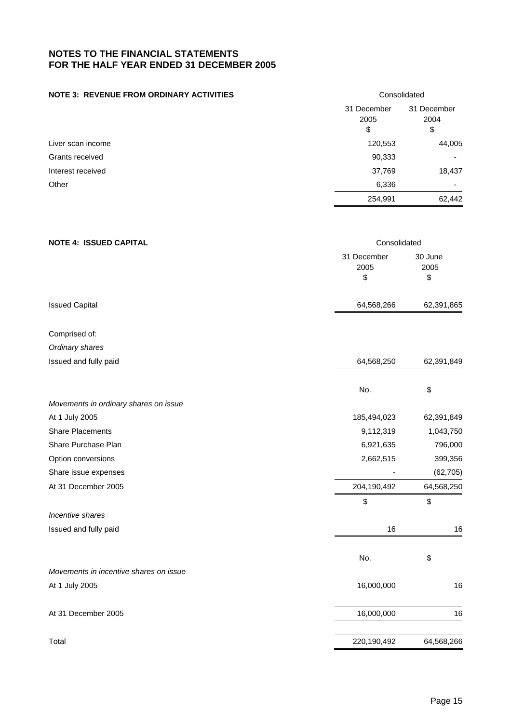# **NOTE 3: REVENUE FROM ORDINARY ACTIVITIES** Consolidated

|                   | 31 December<br>2005<br>\$ | 31 December<br>2004<br>\$ |
|-------------------|---------------------------|---------------------------|
| Liver scan income | 120,553                   | 44,005                    |
| Grants received   | 90,333                    |                           |
| Interest received | 37,769                    | 18,437                    |
| Other             | 6,336                     | $\overline{\phantom{0}}$  |
|                   | 254,991                   | 62,442                    |

# **NOTE 4: ISSUED CAPITAL**  Consolidated 31 December 2005 \$ 30 June 2005  $\mathfrak s$ Issued Capital 62,391,865 62,391,865

Comprised of: *Ordinary shares* 

| Issued and fully paid                  | 64,568,250  | 62,391,849 |
|----------------------------------------|-------------|------------|
|                                        |             |            |
|                                        | No.         | \$         |
| Movements in ordinary shares on issue  |             |            |
| At 1 July 2005                         | 185,494,023 | 62,391,849 |
| <b>Share Placements</b>                | 9,112,319   | 1,043,750  |
| Share Purchase Plan                    | 6,921,635   | 796,000    |
| Option conversions                     | 2,662,515   | 399,356    |
| Share issue expenses                   |             | (62, 705)  |
| At 31 December 2005                    | 204,190,492 | 64,568,250 |
|                                        | \$          | \$         |
| Incentive shares                       |             |            |
| Issued and fully paid                  | 16          | 16         |
|                                        | No.         | \$         |
| Movements in incentive shares on issue |             |            |
| At 1 July 2005                         | 16,000,000  | 16         |
| At 31 December 2005                    | 16,000,000  | 16         |
| Total                                  | 220,190,492 | 64,568,266 |
|                                        |             |            |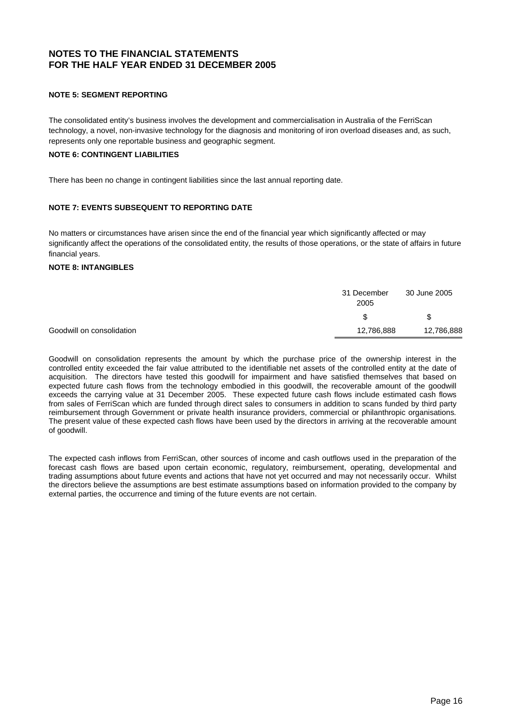# **NOTE 5: SEGMENT REPORTING**

The consolidated entity's business involves the development and commercialisation in Australia of the FerriScan technology, a novel, non-invasive technology for the diagnosis and monitoring of iron overload diseases and, as such, represents only one reportable business and geographic segment.

# **NOTE 6: CONTINGENT LIABILITIES**

There has been no change in contingent liabilities since the last annual reporting date.

# **NOTE 7: EVENTS SUBSEQUENT TO REPORTING DATE**

No matters or circumstances have arisen since the end of the financial year which significantly affected or may significantly affect the operations of the consolidated entity, the results of those operations, or the state of affairs in future financial years.

# **NOTE 8: INTANGIBLES**

|                           | 31 December<br>2005 | 30 June 2005 |
|---------------------------|---------------------|--------------|
|                           | \$                  |              |
| Goodwill on consolidation | 12,786,888          | 12,786,888   |

Goodwill on consolidation represents the amount by which the purchase price of the ownership interest in the controlled entity exceeded the fair value attributed to the identifiable net assets of the controlled entity at the date of acquisition. The directors have tested this goodwill for impairment and have satisfied themselves that based on expected future cash flows from the technology embodied in this goodwill, the recoverable amount of the goodwill exceeds the carrying value at 31 December 2005. These expected future cash flows include estimated cash flows from sales of FerriScan which are funded through direct sales to consumers in addition to scans funded by third party reimbursement through Government or private health insurance providers, commercial or philanthropic organisations*.* The present value of these expected cash flows have been used by the directors in arriving at the recoverable amount of goodwill.

The expected cash inflows from FerriScan, other sources of income and cash outflows used in the preparation of the forecast cash flows are based upon certain economic, regulatory, reimbursement, operating, developmental and trading assumptions about future events and actions that have not yet occurred and may not necessarily occur. Whilst the directors believe the assumptions are best estimate assumptions based on information provided to the company by external parties, the occurrence and timing of the future events are not certain.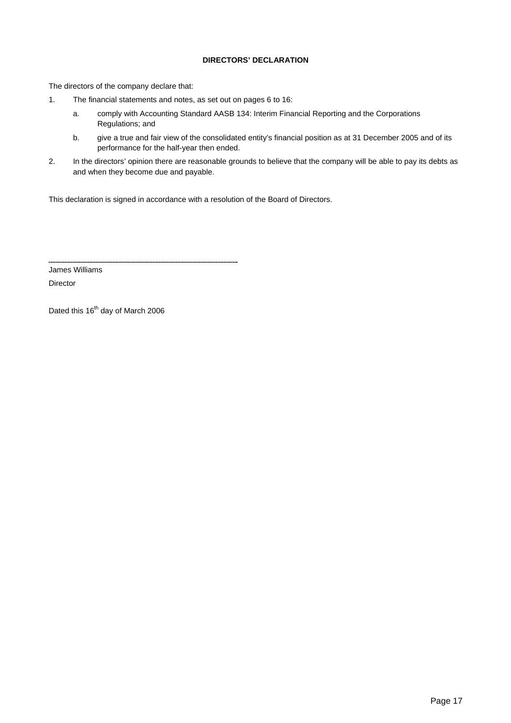# **DIRECTORS' DECLARATION**

The directors of the company declare that:

- 1. The financial statements and notes, as set out on pages 6 to 16:
	- a. comply with Accounting Standard AASB 134: Interim Financial Reporting and the Corporations Regulations; and
	- b. give a true and fair view of the consolidated entity's financial position as at 31 December 2005 and of its performance for the half-year then ended.
- 2. In the directors' opinion there are reasonable grounds to believe that the company will be able to pay its debts as and when they become due and payable.

This declaration is signed in accordance with a resolution of the Board of Directors.

James Williams

Director

Dated this 16<sup>th</sup> day of March 2006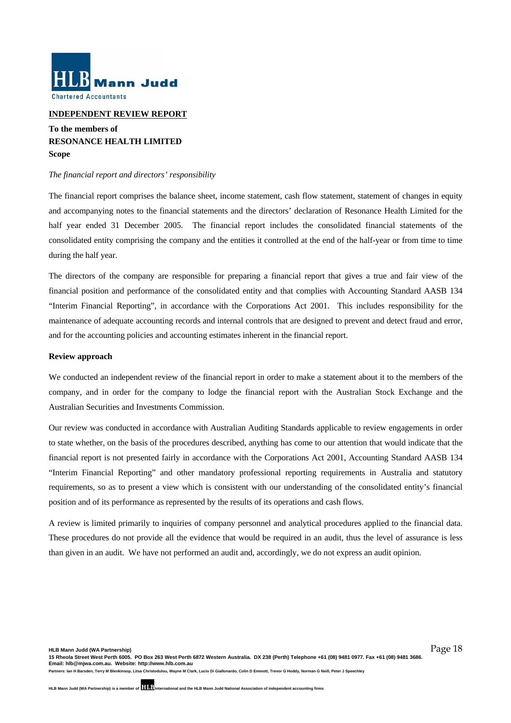

## **INDEPENDENT REVIEW REPORT**

# **To the members of RESONANCE HEALTH LIMITED Scope**

### *The financial report and directors' responsibility*

The financial report comprises the balance sheet, income statement, cash flow statement, statement of changes in equity and accompanying notes to the financial statements and the directors' declaration of Resonance Health Limited for the half year ended 31 December 2005. The financial report includes the consolidated financial statements of the consolidated entity comprising the company and the entities it controlled at the end of the half-year or from time to time during the half year.

The directors of the company are responsible for preparing a financial report that gives a true and fair view of the financial position and performance of the consolidated entity and that complies with Accounting Standard AASB 134 "Interim Financial Reporting", in accordance with the Corporations Act 2001. This includes responsibility for the maintenance of adequate accounting records and internal controls that are designed to prevent and detect fraud and error, and for the accounting policies and accounting estimates inherent in the financial report.

#### **Review approach**

We conducted an independent review of the financial report in order to make a statement about it to the members of the company, and in order for the company to lodge the financial report with the Australian Stock Exchange and the Australian Securities and Investments Commission.

Our review was conducted in accordance with Australian Auditing Standards applicable to review engagements in order to state whether, on the basis of the procedures described, anything has come to our attention that would indicate that the financial report is not presented fairly in accordance with the Corporations Act 2001, Accounting Standard AASB 134 "Interim Financial Reporting" and other mandatory professional reporting requirements in Australia and statutory requirements, so as to present a view which is consistent with our understanding of the consolidated entity's financial position and of its performance as represented by the results of its operations and cash flows.

A review is limited primarily to inquiries of company personnel and analytical procedures applied to the financial data. These procedures do not provide all the evidence that would be required in an audit, thus the level of assurance is less than given in an audit. We have not performed an audit and, accordingly, we do not express an audit opinion.